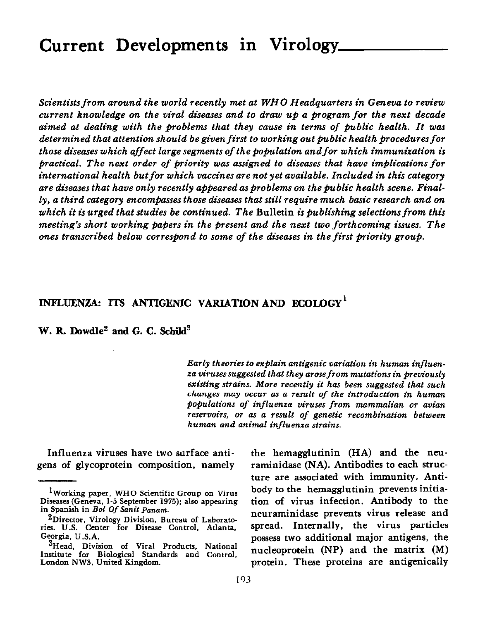## Current Developments in Virology

Scientists from around the world recently met at WHO Headquarters in Geneva to review current knowledge on the viral diseases and to draw up a pogram for the next decade aimed at dealing with the problems that they cause in terms of public health. It was determined that attention should be given first to working out public health procedures for those diseases which affect large segments of the population and for which immunization is practical. The next order of piority was assigned to diseases that have implications for international health but for which vaccines are not yet available. Included in this category are diseases that have only recently appeared as problems on the public health scene. Finally, a third category encomfiasses those diseases that still require much basic research and on which it is urged that studies be continued. The Bulletin is publishing selections from this meeting's short working papers in the present and the next two forthcoming issues. The ones transcribed below correspond to some of the diseases in the first priority group.

## INFLUENZA: ITS ANTIGENIC VARIATION AND ECOLOGY'

W. R. Dowdle<sup>2</sup> and G. C. Schild<sup>3</sup>

Early theories to explain antigenic variation in human influenza viruses suggested that they arose from mutations in previously existing strains. More recently it has been suggested that such changes may occur as a result of the introduction in human populations of influenza viruses from mammalian or avian reservoirs, or as a result of genetic recombination between human and animal influenza strains.

Influenza viruses have two surface anti- the hemagglutinin (HA) and the neu-

gens of glycoprotein composition, namely raminidase (NA). Antibodies to each structure are associated with immunity. Anti-<sup>1</sup>Working paper, WHO Scientific Group on Virus body to the hemagglutinin prevents initiation of virus infection. Antibody to the neuraminidase prevents virus release and 'Head, Division of Viral Products, National Institute for Biological Standards and Control, nucleoprotein (NP) and the matrix (M) possess two additional major antigens, the

Diseases (Geneva, 1-5 September 1975): also appearing in Spanish in Bol Of Sanit Panam.

ADirector, Virology Division, Bureau of Laborato-<br>ries. U.S. Center for Disease Control, Atlanta, Spread. Internally, the virus particle Georgia, U S.A.

London NWS. United Kingdom. **protein. These proteins are antigenically**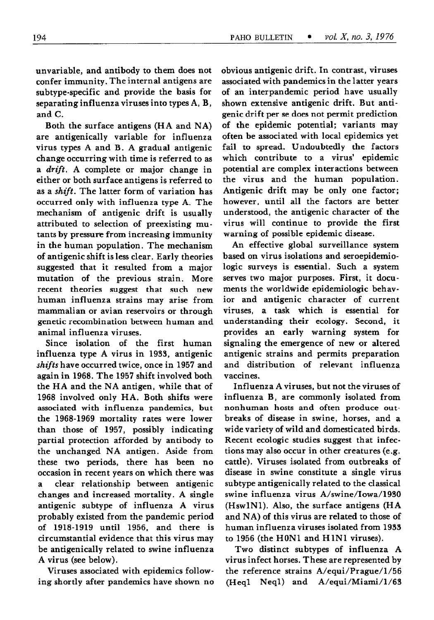unvariable, and antibody to them does not confer immunity. The internal antigens are subtype-specific and provide the basis for separating influenza viruses into types A, B, and C.

Both the surface antigens (HA and NA) are antigenically variable for influenza virus types A and B. A gradual antigenic change occurring with time is referred to as a *drift*. A complete or major change in either or both surface antigens is referred to as a shift. The latter form of variation has occurred only with influenza type A. The mechanism of antigenic drift is usually attributed to selection of preexisting mutants by pressure from increasing immunity in the human population. The mechanism of antigenic shift is less clear. Early theories suggested that it resulted from a major mutation of the previous strain. More recent theories suggest that such new human influenza strains may arise from mammalian or avian reservoirs or through genetic recombination between human and animal influenza viruses.

Since isolation of the first human influenza type A virus in 1933, antigenic shifts have occurred twice, once in 1957 and again in 1968. The 1957 shift involved both the HA and the NA antigen, while that of 1968 involved only HA. Both shifts were associated with influenza pandemics, but the 1968-1969 mortality rates were lower than those of 1957, possibly indicating partial protection afforded by antibody to the unchanged NA antigen. Aside from these two periods, there has been no occasion in recent years on which there was a clear relationship between antigenic changes and increased mortality. A single antigenic subtype of influenza A virus probably existed from the pandemic period of 1918-1919 until 1956, and there is circumstantial evidence that this virus may be antigenically related to swine influenza A virus (see below).

Viruses associated with epidemics following shortly after pandemics have shown no obvious antigenic drift. In contrast, viruses associated with pandemics in the latter years of an interpandemic period have usually shown extensive antigenic drift. But antigenie drift per se does not permit prediction of the epidemic potential; variants may often be associated with local epidemics yet fail to spread. Undoubtedly the factors which contribute to a virus' epidemic potential are complex interactions between the virus and the human population. Antigenic drift may be only one factor; however, until all the factors are better understood, the antigenic character of the virus will continue to provide the first warning of possible epidemic disease.

An effective global surveillance system based on virus isolations and seroepidemiologic surveys is essential. Such a system serves two major purposes. First, it documents the worldwide epidemiologic behavior and antigenic character of current viruses, a task which is essential for understanding their ecology. Second, it provides an early warning system for signaling the emergence of new or altered antigenic strains and permits preparation and distribution of relevant influenza vaccines.

Influenza A viruses, but not the viruses of influenza B, are commonly isolated from nonhuman hosts and often produce outbreaks of disease in swine, horses, and a wide variety of wild and domesticated birds. Recent ecologic studies suggest that infections may also occur in other creatures (e.g. cattle). Viruses isolated from outbreaks of disease in swine constitute a single virus subtype antigenically related to the classical swine influenza virus A/swine/Iowa/l980 (HswlNl). Also, the surface antigens (HA and NA) of this virus are related to those of human influenza viruses isolated from 1933 to 1956 (the HONl and HlNl viruses).

Two distinct subtypes of influenza A virus infect horses. These are represented by the reference strains A/equi/Prague/l/56 (Heql Neql) and A/equi/Miami/l/GS